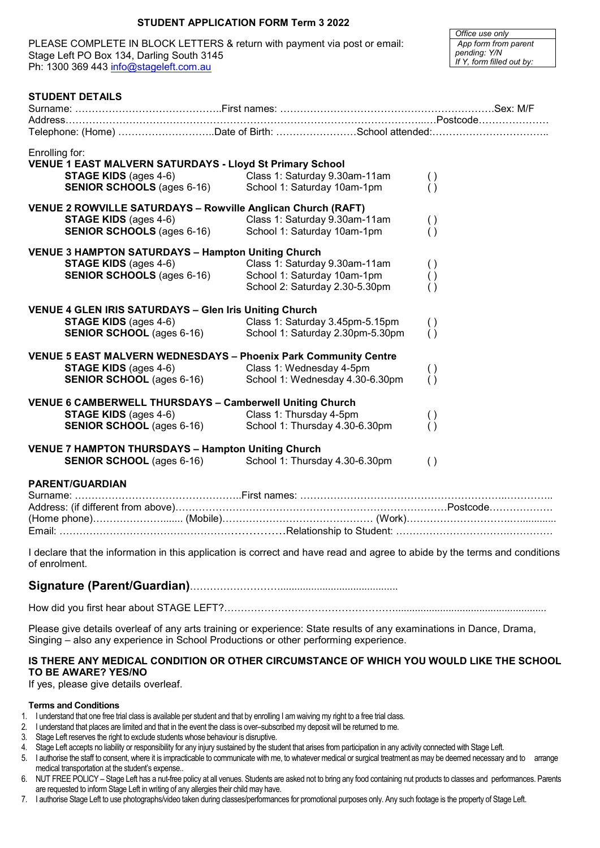# **STUDENT APPLICATION FORM Term 3 2022**

PLEASE COMPLETE IN BLOCK LETTERS & return with payment via post or email: Stage Left PO Box 134, Darling South 3145 Ph: 1300 369 443 [info@stageleft.com.au](mailto:info@stageleft.com.au)

*Office use only App form from parent pending: Y/N If Y, form filled out by:*

| <b>STUDENT DETAILS</b>                                                              |                                                   |                    |  |  |  |  |
|-------------------------------------------------------------------------------------|---------------------------------------------------|--------------------|--|--|--|--|
|                                                                                     |                                                   |                    |  |  |  |  |
|                                                                                     | Telephone: (Home) Date of Birth: School attended: |                    |  |  |  |  |
|                                                                                     |                                                   |                    |  |  |  |  |
| Enrolling for:                                                                      |                                                   |                    |  |  |  |  |
| <b>VENUE 1 EAST MALVERN SATURDAYS - Lloyd St Primary School</b>                     |                                                   |                    |  |  |  |  |
| <b>STAGE KIDS</b> (ages 4-6)<br>STAGE KIDS (ages 4-6)<br>SENIOR SCHOOLS (ages 6-16) | Class 1: Saturday 9.30am-11am                     | $\left( \ \right)$ |  |  |  |  |
|                                                                                     | School 1: Saturday 10am-1pm                       | ( )                |  |  |  |  |
| VENUE 2 ROWVILLE SATURDAYS - Rowville Anglican Church (RAFT)                        |                                                   |                    |  |  |  |  |
| <b>STAGE KIDS</b> (ages 4-6)                                                        | Class 1: Saturday 9.30am-11am                     | $\left( \ \right)$ |  |  |  |  |
| <b>SENIOR SCHOOLS (ages 6-16)</b>                                                   | School 1: Saturday 10am-1pm                       | ( )                |  |  |  |  |
|                                                                                     |                                                   |                    |  |  |  |  |
| <b>VENUE 3 HAMPTON SATURDAYS - Hampton Uniting Church</b>                           |                                                   |                    |  |  |  |  |
| <b>STAGE KIDS</b> (ages 4-6)                                                        | Class 1: Saturday 9.30am-11am                     | $\left( \ \right)$ |  |  |  |  |
| <b>SENIOR SCHOOLS (ages 6-16)</b>                                                   | School 1: Saturday 10am-1pm                       | $\left( \ \right)$ |  |  |  |  |
|                                                                                     | School 2: Saturday 2.30-5.30pm                    | ( )                |  |  |  |  |
| <b>VENUE 4 GLEN IRIS SATURDAYS - Glen Iris Uniting Church</b>                       |                                                   |                    |  |  |  |  |
| <b>STAGE KIDS</b> (ages 4-6)                                                        | Class 1: Saturday 3.45pm-5.15pm                   | ( )                |  |  |  |  |
| <b>SENIOR SCHOOL</b> (ages 6-16)                                                    | School 1: Saturday 2.30pm-5.30pm                  | ( )                |  |  |  |  |
|                                                                                     |                                                   |                    |  |  |  |  |
| <b>VENUE 5 EAST MALVERN WEDNESDAYS - Phoenix Park Community Centre</b>              |                                                   |                    |  |  |  |  |
| <b>STAGE KIDS</b> (ages 4-6)                                                        | Class 1: Wednesday 4-5pm                          | $\left( \ \right)$ |  |  |  |  |
| <b>SENIOR SCHOOL</b> (ages 6-16)                                                    | School 1: Wednesday 4.30-6.30pm                   | ( )                |  |  |  |  |
|                                                                                     |                                                   |                    |  |  |  |  |
| <b>VENUE 6 CAMBERWELL THURSDAYS - Camberwell Uniting Church</b>                     |                                                   |                    |  |  |  |  |
| <b>STAGE KIDS</b> (ages 4-6)                                                        | Class 1: Thursday 4-5pm                           | $\left( \ \right)$ |  |  |  |  |
| <b>SENIOR SCHOOL</b> (ages 6-16)                                                    | School 1: Thursday 4.30-6.30pm                    | ( )                |  |  |  |  |
| <b>VENUE 7 HAMPTON THURSDAYS - Hampton Uniting Church</b>                           |                                                   |                    |  |  |  |  |
| <b>SENIOR SCHOOL</b> (ages 6-16)                                                    | School 1: Thursday 4.30-6.30pm                    | ( )                |  |  |  |  |
|                                                                                     |                                                   |                    |  |  |  |  |
| <b>PARENT/GUARDIAN</b>                                                              |                                                   |                    |  |  |  |  |
|                                                                                     |                                                   |                    |  |  |  |  |
|                                                                                     |                                                   |                    |  |  |  |  |
|                                                                                     |                                                   |                    |  |  |  |  |
|                                                                                     |                                                   |                    |  |  |  |  |
|                                                                                     |                                                   |                    |  |  |  |  |

I declare that the information in this application is correct and have read and agree to abide by the terms and conditions of enrolment.

# **Signature (Parent/Guardian)**………………………..........................................

How did you first hear about STAGE LEFT?……………………………………………......................................................

Please give details overleaf of any arts training or experience: State results of any examinations in Dance, Drama, Singing – also any experience in School Productions or other performing experience.

# **IS THERE ANY MEDICAL CONDITION OR OTHER CIRCUMSTANCE OF WHICH YOU WOULD LIKE THE SCHOOL TO BE AWARE? YES/NO**

If yes, please give details overleaf.

#### **Terms and Conditions**

- 1. I understand that one free trial class is available per student and that by enrolling I am waiving my right to a free trial class.
- 2. I understand that places are limited and that in the event the class is over–subscribed my deposit will be returned to me.
- 3. Stage Left reserves the right to exclude students whose behaviour is disruptive.
- 4. Stage Left accepts no liability or responsibility for any injury sustained by the student that arises from participation in any activity connected with Stage Left.
- 5. I authorise the staff to consent, where it is impracticable to communicate with me, to whatever medical or surgical treatment as may be deemed necessary and to arrange medical transportation at the student's expense..
- 6. NUT FREE POLICY Stage Left has a nut-free policy at all venues. Students are asked not to bring any food containing nut products to classes and performances. Parents are requested to inform Stage Left in writing of any allergies their child may have.
- 7. I authorise Stage Left to use photographs/video taken during classes/performances for promotional purposes only. Any such footage is the property of Stage Left.